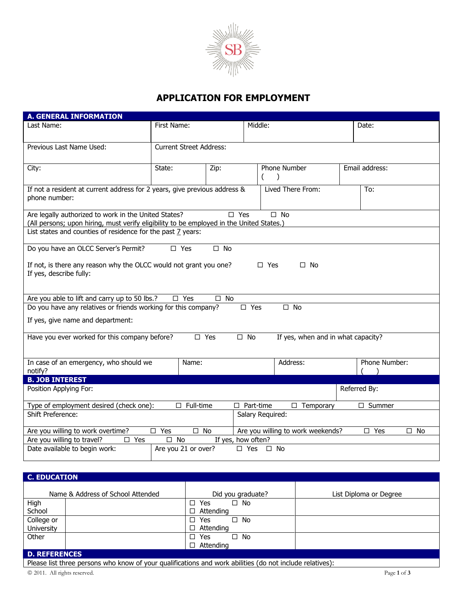

# **APPLICATION FOR EMPLOYMENT**

| <b>A. GENERAL INFORMATION</b>                                                                                                                                                     |                                |              |  |                           |  |                |  |
|-----------------------------------------------------------------------------------------------------------------------------------------------------------------------------------|--------------------------------|--------------|--|---------------------------|--|----------------|--|
| Last Name:                                                                                                                                                                        | First Name:                    |              |  | Middle:                   |  | Date:          |  |
| Previous Last Name Used:                                                                                                                                                          | <b>Current Street Address:</b> |              |  |                           |  |                |  |
| City:                                                                                                                                                                             | State:<br>Zip:                 |              |  | Phone Number<br>$\lambda$ |  | Email address: |  |
| If not a resident at current address for 2 years, give previous address &<br>phone number:                                                                                        |                                |              |  | Lived There From:         |  | To:            |  |
| Are legally authorized to work in the United States?<br>$\square$ Yes<br>$\square$ No<br>(All persons; upon hiring, must verify eligibility to be employed in the United States.) |                                |              |  |                           |  |                |  |
| List states and counties of residence for the past 7 years:                                                                                                                       |                                |              |  |                           |  |                |  |
| Do you have an OLCC Server's Permit?                                                                                                                                              | $\square$ Yes                  | $\square$ No |  |                           |  |                |  |
| If not, is there any reason why the OLCC would not grant you one?<br>$\Box$ Yes<br>$\square$ No<br>If yes, describe fully:                                                        |                                |              |  |                           |  |                |  |
| Are you able to lift and carry up to 50 lbs.?<br>$\square$ Yes<br>$\Box$ No                                                                                                       |                                |              |  |                           |  |                |  |
| Do you have any relatives or friends working for this company?<br>$\square$ Yes<br>$\square$ No                                                                                   |                                |              |  |                           |  |                |  |
| If yes, give name and department:                                                                                                                                                 |                                |              |  |                           |  |                |  |
| Have you ever worked for this company before?<br>$\square$ Yes<br>$\square$ No<br>If yes, when and in what capacity?                                                              |                                |              |  |                           |  |                |  |
| In case of an emergency, who should we<br>notify?                                                                                                                                 | Name:                          |              |  | Address:                  |  | Phone Number:  |  |
| <b>B. JOB INTEREST</b>                                                                                                                                                            |                                |              |  |                           |  |                |  |
| Position Applying For:<br>Referred By:                                                                                                                                            |                                |              |  |                           |  |                |  |
| Type of employment desired (check one):<br>$\square$ Full-time<br>$\Box$ Temporary<br>$\square$ Summer<br>$\Box$ Part-time                                                        |                                |              |  |                           |  |                |  |
| <b>Shift Preference:</b><br>Salary Required:                                                                                                                                      |                                |              |  |                           |  |                |  |
| $\square$ Yes<br>$\square$ No<br>Are you willing to work weekends?<br>Are you willing to work overtime?<br>$\square$ Yes<br>$\square$ No                                          |                                |              |  |                           |  |                |  |
| Are you willing to travel?<br>$\square$ No<br>If yes, how often?<br>$\square$ Yes                                                                                                 |                                |              |  |                           |  |                |  |
| Date available to begin work:<br>Are you 21 or over?<br>$\Box$ Yes<br>$\square$ No                                                                                                |                                |              |  |                           |  |                |  |

### **C. EDUCATION**

| Name & Address of School Attended | Did you graduate?          | List Diploma or Degree |  |  |  |  |
|-----------------------------------|----------------------------|------------------------|--|--|--|--|
| High                              | $\Box$ Yes<br>$\square$ No |                        |  |  |  |  |
| School                            | $\Box$ Attending           |                        |  |  |  |  |
| College or                        | $\square$ No<br>$\Box$ Yes |                        |  |  |  |  |
| <b>University</b>                 | $\Box$ Attending           |                        |  |  |  |  |
| Other                             | $\square$ No<br>$\Box$ Yes |                        |  |  |  |  |
|                                   | $\Box$ Attending           |                        |  |  |  |  |
| <b>D. REFERENCES</b>              |                            |                        |  |  |  |  |

Please list three persons who know of your qualifications and work abilities (do not include relatives):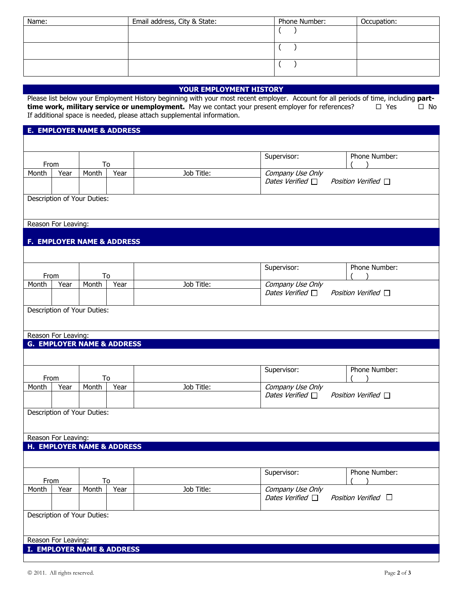| Name: | Email address, City & State: | Phone Number: | Occupation: |
|-------|------------------------------|---------------|-------------|
|       |                              |               |             |
|       |                              |               |             |
|       |                              |               |             |
|       |                              |               |             |
|       |                              |               |             |
|       |                              |               |             |

## **YOUR EMPLOYMENT HISTORY**

Please list below your Employment History beginning with your most recent employer. Account for all periods of time, including **part-**<br> **time work, military service or unemployment.** May we contact your present employer f **time work, military service or unemployment.** May we contact your present employer for references? If additional space is needed, please attach supplemental information.

# **E. EMPLOYER NAME & ADDRESS** From To<br>Month Year Month Supervisor: Phone Number:  $\lambda$ Year Job Title: Company Use Only Dates Verified  $\Box$  Position Verified  $\Box$ Description of Your Duties: Reason For Leaving: **F. EMPLOYER NAME & ADDRESS** From To<br>Month Year Month Supervisor: Phone Number: ( ) Year | Job Title: Company Use Only Dates Verified  $\Box$  Position Verified  $\Box$ Description of Your Duties: Reason For Leaving: **G. EMPLOYER NAME & ADDRESS** From To<br>Month Year Month Supervisor: Phone Number: ( ) Year Job Title: Company Use Only Dates Verified  $\Box$  Position Verified  $\Box$ Description of Your Duties: Reason For Leaving: **H. EMPLOYER NAME & ADDRESS**  From To Supervisor: Phone Number: ( ) Month Year | Month | Year | Job Title: Company Use Only Dates Verified  $\Box$  Position Verified  $\Box$ Description of Your Duties: Reason For Leaving: **I. EMPLOYER NAME & ADDRESS**